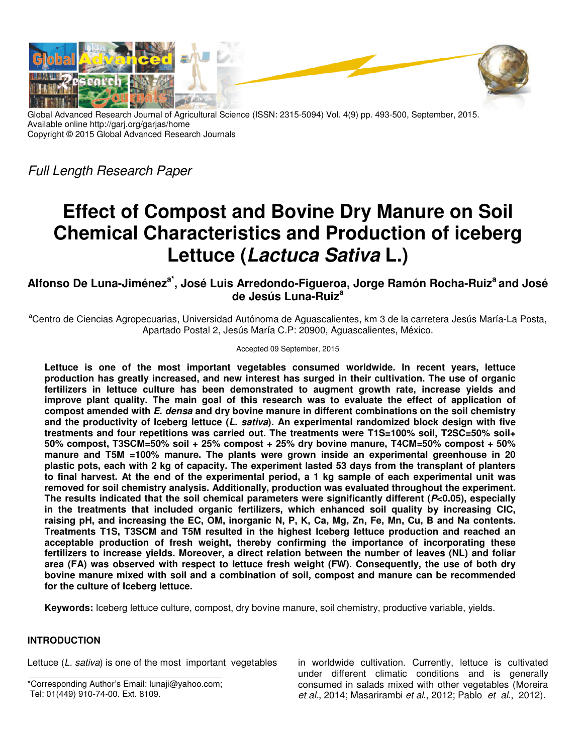

Global Advanced Research Journal of Agricultural Science (ISSN: 2315-5094) Vol. 4(9) pp. 493-500, September, 2015. Available online http://garj.org/garjas/home Copyright © 2015 Global Advanced Research Journals

Full Length Research Paper

# **Effect of Compost and Bovine Dry Manure on Soil Chemical Characteristics and Production of iceberg Lettuce (Lactuca Sativa L.)**

# **Alfonso De Luna-Jiméneza\*, José Luis Arredondo-Figueroa, Jorge Ramón Rocha-Ruiz<sup>a</sup>and José de Jesús Luna-Ruiz<sup>a</sup>**

<sup>a</sup>Centro de Ciencias Agropecuarias, Universidad Autónoma de Aguascalientes, km 3 de la carretera Jesús María-La Posta, Apartado Postal 2, Jesús María C.P: 20900, Aguascalientes, México.

Accepted 09 September, 2015

**Lettuce is one of the most important vegetables consumed worldwide. In recent years, lettuce production has greatly increased, and new interest has surged in their cultivation. The use of organic fertilizers in lettuce culture has been demonstrated to augment growth rate, increase yields and improve plant quality. The main goal of this research was to evaluate the effect of application of compost amended with E. densa and dry bovine manure in different combinations on the soil chemistry and the productivity of Iceberg lettuce (L. sativa). An experimental randomized block design with five treatments and four repetitions was carried out. The treatments were T1S=100% soil, T2SC=50% soil+ 50% compost, T3SCM=50% soil + 25% compost + 25% dry bovine manure, T4CM=50% compost + 50% manure and T5M =100% manure. The plants were grown inside an experimental greenhouse in 20 plastic pots, each with 2 kg of capacity. The experiment lasted 53 days from the transplant of planters to final harvest. At the end of the experimental period, a 1 kg sample of each experimental unit was removed for soil chemistry analysis. Additionally, production was evaluated throughout the experiment. The results indicated that the soil chemical parameters were significantly different (P<0.05), especially in the treatments that included organic fertilizers, which enhanced soil quality by increasing CIC, raising pH, and increasing the EC, OM, inorganic N, P, K, Ca, Mg, Zn, Fe, Mn, Cu, B and Na contents. Treatments T1S, T3SCM and T5M resulted in the highest Iceberg lettuce production and reached an acceptable production of fresh weight, thereby confirming the importance of incorporating these fertilizers to increase yields. Moreover, a direct relation between the number of leaves (NL) and foliar area (FA) was observed with respect to lettuce fresh weight (FW). Consequently, the use of both dry bovine manure mixed with soil and a combination of soil, compost and manure can be recommended for the culture of Iceberg lettuce.** 

**Keywords:** Iceberg lettuce culture, compost, dry bovine manure, soil chemistry, productive variable, yields.

# **INTRODUCTION**

Lettuce (L. sativa) is one of the most important vegetables

\*Corresponding Author's Email: lunaji@yahoo.com; Tel: 01(449) 910-74-00. Ext. 8109.

in worldwide cultivation. Currently, lettuce is cultivated under different climatic conditions and is generally consumed in salads mixed with other vegetables (Moreira et al., 2014; Masarirambi et al., 2012; Pablo et al., 2012).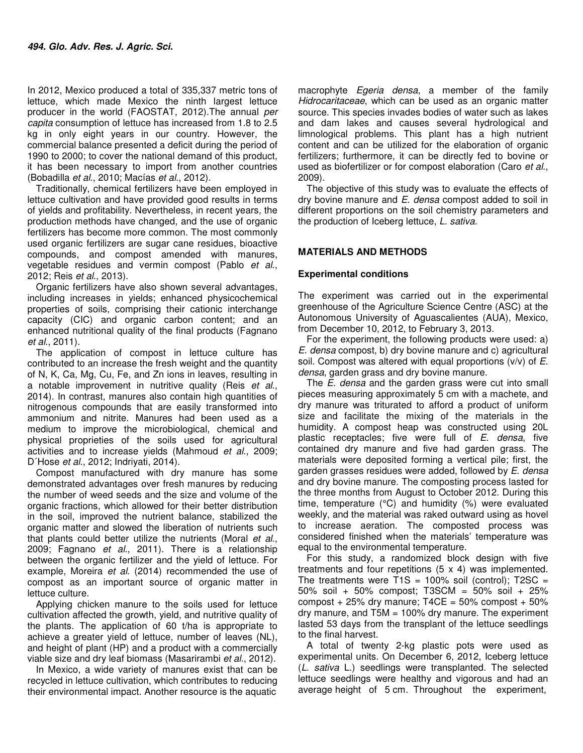In 2012, Mexico produced a total of 335,337 metric tons of lettuce, which made Mexico the ninth largest lettuce producer in the world (FAOSTAT, 2012).The annual per capita consumption of lettuce has increased from 1.8 to 2.5 kg in only eight years in our country. However, the commercial balance presented a deficit during the period of 1990 to 2000; to cover the national demand of this product, it has been necessary to import from another countries (Bobadilla et al., 2010; Macías et al., 2012).

Traditionally, chemical fertilizers have been employed in lettuce cultivation and have provided good results in terms of yields and profitability. Nevertheless, in recent years, the production methods have changed, and the use of organic fertilizers has become more common. The most commonly used organic fertilizers are sugar cane residues, bioactive compounds, and compost amended with manures, vegetable residues and vermin compost (Pablo et al., 2012; Reis et al., 2013).

Organic fertilizers have also shown several advantages, including increases in yields; enhanced physicochemical properties of soils, comprising their cationic interchange capacity (CIC) and organic carbon content; and an enhanced nutritional quality of the final products (Fagnano et al., 2011).

The application of compost in lettuce culture has contributed to an increase the fresh weight and the quantity of N, K, Ca, Mg, Cu, Fe, and Zn ions in leaves, resulting in a notable improvement in nutritive quality (Reis et al., 2014). In contrast, manures also contain high quantities of nitrogenous compounds that are easily transformed into ammonium and nitrite. Manures had been used as a medium to improve the microbiological, chemical and physical proprieties of the soils used for agricultural activities and to increase yields (Mahmoud et al., 2009; D'Hose et al., 2012; Indrivati, 2014).

Compost manufactured with dry manure has some demonstrated advantages over fresh manures by reducing the number of weed seeds and the size and volume of the organic fractions, which allowed for their better distribution in the soil, improved the nutrient balance, stabilized the organic matter and slowed the liberation of nutrients such that plants could better utilize the nutrients (Moral et al., 2009; Fagnano et al., 2011). There is a relationship between the organic fertilizer and the yield of lettuce. For example, Moreira et al. (2014) recommended the use of compost as an important source of organic matter in lettuce culture.

Applying chicken manure to the soils used for lettuce cultivation affected the growth, yield, and nutritive quality of the plants. The application of 60 t/ha is appropriate to achieve a greater yield of lettuce, number of leaves (NL), and height of plant (HP) and a product with a commercially viable size and dry leaf biomass (Masarirambi et al., 2012).

In Mexico, a wide variety of manures exist that can be recycled in lettuce cultivation, which contributes to reducing their environmental impact. Another resource is the aquatic

macrophyte Egeria densa, a member of the family Hidrocaritaceae, which can be used as an organic matter source. This species invades bodies of water such as lakes and dam lakes and causes several hydrological and limnological problems. This plant has a high nutrient content and can be utilized for the elaboration of organic fertilizers; furthermore, it can be directly fed to bovine or used as biofertilizer or for compost elaboration (Caro et al., 2009).

The objective of this study was to evaluate the effects of dry bovine manure and E. densa compost added to soil in different proportions on the soil chemistry parameters and the production of Iceberg lettuce, L. sativa.

# **MATERIALS AND METHODS**

## **Experimental conditions**

The experiment was carried out in the experimental greenhouse of the Agriculture Science Centre (ASC) at the Autonomous University of Aguascalientes (AUA), Mexico, from December 10, 2012, to February 3, 2013.

For the experiment, the following products were used: a) E. densa compost, b) dry bovine manure and c) agricultural soil. Compost was altered with equal proportions  $(v/v)$  of  $E$ . densa, garden grass and dry bovine manure.

The *E. densa* and the garden grass were cut into small pieces measuring approximately 5 cm with a machete, and dry manure was triturated to afford a product of uniform size and facilitate the mixing of the materials in the humidity. A compost heap was constructed using 20L plastic receptacles; five were full of  $E$ . densa, five contained dry manure and five had garden grass. The materials were deposited forming a vertical pile; first, the garden grasses residues were added, followed by E. densa and dry bovine manure. The composting process lasted for the three months from August to October 2012. During this time, temperature (°C) and humidity (%) were evaluated weekly, and the material was raked outward using as hovel to increase aeration. The composted process was considered finished when the materials' temperature was equal to the environmental temperature.

For this study, a randomized block design with five treatments and four repetitions (5 x 4) was implemented. The treatments were T1S = 100% soil (control);  $T2SC =$ 50% soil + 50% compost; T3SCM = 50% soil + 25% compost  $+25\%$  dry manure; T4CE =  $50\%$  compost  $+50\%$ dry manure, and T5M = 100% dry manure. The experiment lasted 53 days from the transplant of the lettuce seedlings to the final harvest.

A total of twenty 2-kg plastic pots were used as experimental units. On December 6, 2012, Iceberg lettuce (L. sativa L.) seedlings were transplanted. The selected lettuce seedlings were healthy and vigorous and had an average height of 5 cm. Throughout the experiment,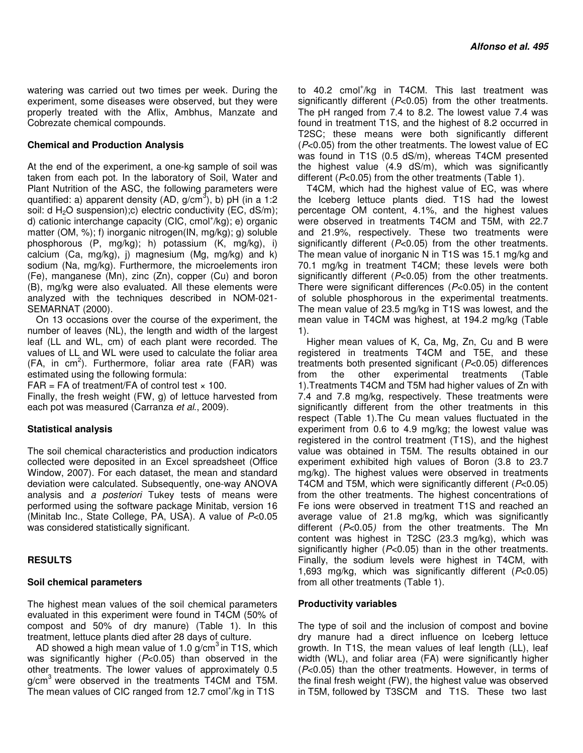watering was carried out two times per week. During the experiment, some diseases were observed, but they were properly treated with the Aflix, Ambhus, Manzate and Cobrezate chemical compounds.

#### **Chemical and Production Analysis**

At the end of the experiment, a one-kg sample of soil was taken from each pot. In the laboratory of Soil, Water and Plant Nutrition of the ASC, the following parameters were quantified: a) apparent density (AD, g/cm<sup>3</sup>), b) pH (in a 1:2 soil: d  $H_2O$  suspension);c) electric conductivity (EC, dS/m); d) cationic interchange capacity (CIC, cmol<sup>+</sup>/kg); e) organic matter (OM, %); f) inorganic nitrogen(IN, mg/kg); g) soluble phosphorous (P, mg/kg); h) potassium (K, mg/kg), i) calcium (Ca, mg/kg), j) magnesium (Mg, mg/kg) and k) sodium (Na, mg/kg). Furthermore, the microelements iron (Fe), manganese (Mn), zinc (Zn), copper (Cu) and boron (B), mg/kg were also evaluated. All these elements were analyzed with the techniques described in NOM-021- SEMARNAT (2000).

On 13 occasions over the course of the experiment, the number of leaves (NL), the length and width of the largest leaf (LL and WL, cm) of each plant were recorded. The values of LL and WL were used to calculate the foliar area  $(FA, in cm<sup>2</sup>)$ . Furthermore, foliar area rate  $(FAR)$  was estimated using the following formula:

 $FAR = FA$  of treatment/FA of control test  $\times$  100.

Finally, the fresh weight (FW, g) of lettuce harvested from each pot was measured (Carranza et al., 2009).

### **Statistical analysis**

The soil chemical characteristics and production indicators collected were deposited in an Excel spreadsheet (Office Window, 2007). For each dataset, the mean and standard deviation were calculated. Subsequently, one-way ANOVA analysis and a posteriori Tukey tests of means were performed using the software package Minitab, version 16 (Minitab Inc., State College, PA, USA). A value of P<0.05 was considered statistically significant.

### **RESULTS**

### **Soil chemical parameters**

The highest mean values of the soil chemical parameters evaluated in this experiment were found in T4CM (50% of compost and 50% of dry manure) (Table 1). In this treatment, lettuce plants died after 28 days of culture.

AD showed a high mean value of 1.0  $g/cm<sup>3</sup>$  in T1S, which was significantly higher  $(P<0.05)$  than observed in the other treatments. The lower values of approximately 0.5  $g/cm<sup>3</sup>$  were observed in the treatments T4CM and T5M. The mean values of CIC ranged from 12.7 cmol<sup>+</sup>/kg in T1S

to 40.2 cmol<sup>+</sup>/kg in T4CM. This last treatment was significantly different (P<0.05) from the other treatments. The pH ranged from 7.4 to 8.2. The lowest value 7.4 was found in treatment T1S, and the highest of 8.2 occurred in T2SC; these means were both significantly different (P<0.05) from the other treatments. The lowest value of EC was found in T1S (0.5 dS/m), whereas T4CM presented the highest value (4.9 dS/m), which was significantly different ( $P<0.05$ ) from the other treatments (Table 1).

T4CM, which had the highest value of EC, was where the Iceberg lettuce plants died. T1S had the lowest percentage OM content, 4.1%, and the highest values were observed in treatments T4CM and T5M, with 22.7 and 21.9%, respectively. These two treatments were significantly different  $(P<0.05)$  from the other treatments. The mean value of inorganic N in T1S was 15.1 mg/kg and 70.1 mg/kg in treatment T4CM; these levels were both significantly different  $(P<0.05)$  from the other treatments. There were significant differences  $(P<0.05)$  in the content of soluble phosphorous in the experimental treatments. The mean value of 23.5 mg/kg in T1S was lowest, and the mean value in T4CM was highest, at 194.2 mg/kg (Table 1).

Higher mean values of K, Ca, Mg, Zn, Cu and B were registered in treatments T4CM and T5E, and these treatments both presented significant (P<0.05) differences from the other experimental treatments (Table 1).Treatments T4CM and T5M had higher values of Zn with 7.4 and 7.8 mg/kg, respectively. These treatments were significantly different from the other treatments in this respect (Table 1).The Cu mean values fluctuated in the experiment from 0.6 to 4.9 mg/kg; the lowest value was registered in the control treatment (T1S), and the highest value was obtained in T5M. The results obtained in our experiment exhibited high values of Boron (3.8 to 23.7 mg/kg). The highest values were observed in treatments T4CM and T5M, which were significantly different (P<0.05) from the other treatments. The highest concentrations of Fe ions were observed in treatment T1S and reached an average value of 21.8 mg/kg, which was significantly different  $(P<0.05)$  from the other treatments. The Mn content was highest in T2SC (23.3 mg/kg), which was significantly higher  $(P<0.05)$  than in the other treatments. Finally, the sodium levels were highest in T4CM, with 1,693 mg/kg, which was significantly different  $(P<0.05)$ from all other treatments (Table 1).

### **Productivity variables**

The type of soil and the inclusion of compost and bovine dry manure had a direct influence on Iceberg lettuce growth. In T1S, the mean values of leaf length (LL), leaf width (WL), and foliar area (FA) were significantly higher (P<0.05) than the other treatments. However, in terms of the final fresh weight (FW), the highest value was observed in T5M, followed by T3SCM and T1S. These two last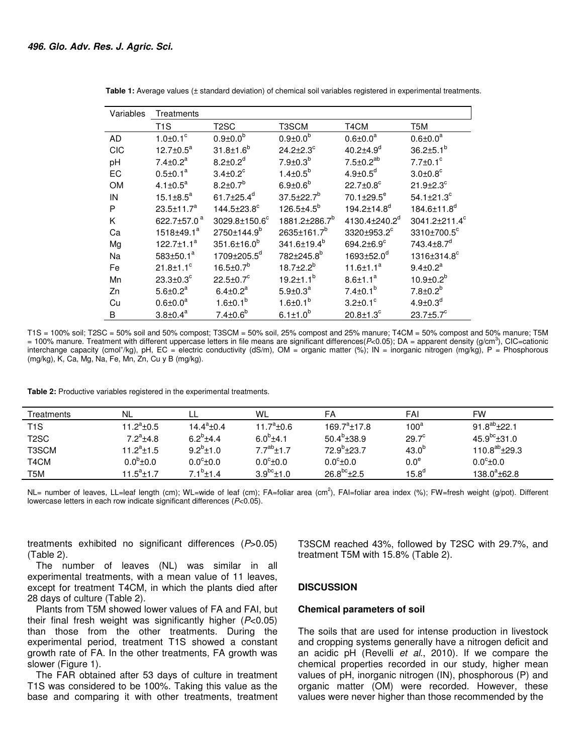| Variables  | Treatments                  |                               |                           |                              |                               |  |  |  |
|------------|-----------------------------|-------------------------------|---------------------------|------------------------------|-------------------------------|--|--|--|
|            | T <sub>1</sub> S            | T2SC                          | T3SCM                     | T4CM                         | T5M                           |  |  |  |
| AD         | $1.0 \pm 0.1$ °             | $0.9 \pm 0.0^{b}$             | $0.9 \pm 0.0^{\rm b}$     | $0.6 \pm 0.0^a$              | $0.6 \pm 0.0^a$               |  |  |  |
| <b>CIC</b> | 12.7 $\pm$ 0.5 $^{a}$       | $31.8 \pm 1.6^b$              | $24.2 \pm 2.3$ °          | $40.2{\pm}4.9^{d}$           | $36.2 \pm 5.1^{b}$            |  |  |  |
| pH         | $7.4 \pm 0.2^a$             | $8.2 \pm 0.2$ <sup>d</sup>    | $7.9 \pm 0.3^b$           | $7.5 \pm 0.2^{ab}$           | $7.7 \pm 0.1$ <sup>c</sup>    |  |  |  |
| EC         | $0.5 \pm 0.1^a$             | $3.4 \pm 0.2^{\circ}$         | $1.4 \pm 0.5^{b}$         | $4.9 \pm 0.5^d$              | $3.0 \pm 0.8$ °               |  |  |  |
| <b>OM</b>  | 4.1 $\pm$ 0.5 <sup>a</sup>  | $8.2 \pm 0.7^b$               | $6.9 \pm 0.6^{\rm b}$     | $22.7 \pm 0.8$ °             | $21.9 \pm 2.3$ °              |  |  |  |
| IN         | $15.1 \pm 8.5^a$            | 61.7 $\pm$ 25.4 <sup>d</sup>  | $37.5 \pm 22.7^b$         | $70.1 \pm 29.5^e$            | $54.1 \pm 21.3$ <sup>c</sup>  |  |  |  |
| P          | $23.5 \pm 11.7^a$           | $144.5 \pm 23.8$ <sup>c</sup> | $126.5 \pm 4.5^{b}$       | 194.2±14.8 <sup>d</sup>      | 184.6±11.8 <sup>d</sup>       |  |  |  |
| Κ          | 622.7±57.0 <sup>a</sup>     | 3029.8±150.6°                 | 1881.2±286.7 <sup>b</sup> | 4130.4±240.2 <sup>d</sup>    | 3041.2±211.4 <sup>c</sup>     |  |  |  |
| Ca         | $1518 \pm 49.1^a$           | 2750±144.9 <sup>b</sup>       | 2635±161.7 <sup>b</sup>   | 3320±953.2 <sup>c</sup>      | $3310 \pm 700.5$ <sup>c</sup> |  |  |  |
| Mg         | $122.7 \pm 1.1^a$           | $351.6 \pm 16.0^b$            | 341.6±19.4 <sup>b</sup>   | 694.2 $\pm$ 6.9 $^{\circ}$   | $743.4 \pm 8.7$ <sup>d</sup>  |  |  |  |
| Na         | 583 $\pm$ 50.1 $a$          | 1709±205.5 <sup>d</sup>       | 782±245.8 <sup>b</sup>    | $1693 \pm 52.0$ <sup>d</sup> | 1316±314.8°                   |  |  |  |
| Fe         | $21.8 \pm 1.1$ <sup>c</sup> | $16.5 \pm 0.7^b$              | $18.7 \pm 2.2^b$          | 11.6 $\pm$ 1.1 $^{\rm a}$    | $9.4 \pm 0.2^a$               |  |  |  |
| Mn         | $23.3 \pm 0.3^c$            | $22.5 \pm 0.7^{\circ}$        | $19.2 \pm 1.1^b$          | $8.6 \pm 1.1^a$              | $10.9 \pm 0.2^b$              |  |  |  |
| Zn         | $5.6 \pm 0.2^a$             | $6.4 \pm 0.2^a$               | $5.9 \pm 0.3^a$           | $7.4 \pm 0.1^b$              | $7.8 \pm 0.2^b$               |  |  |  |
| Cu         | $0.6 \pm 0.0^a$             | $1.6 \pm 0.1^b$               | $1.6 \pm 0.1^{b}$         | $3.2 \pm 0.1$ °              | $4.9 \pm 0.3^{d}$             |  |  |  |
| B          | $3.8 \pm 0.4^a$             | $7.4 \pm 0.6^b$               | $6.1 \pm 1.0^{b}$         | $20.8 + 1.3^c$               | $23.7 \pm 5.7$ <sup>c</sup>   |  |  |  |

 **Table 1:** Average values (± standard deviation) of chemical soil variables registered in experimental treatments.

T1S = 100% soil; T2SC = 50% soil and 50% compost; T3SCM = 50% soil, 25% compost and 25% manure; T4CM = 50% compost and 50% manure; T5M  $=$  100% manure. Treatment with different uppercase letters in file means are significant differences( $P$ <0.05); DA = apparent density (g/cm<sup>3</sup>), CIC=cationic interchange capacity (cmol<sup>+</sup>/kg), pH, EC = electric conductivity (dS/m), OM = organic matter (%); IN = inorganic nitrogen (mg/kg), P = Phosphorous (mg/kg), K, Ca, Mg, Na, Fe, Mn, Zn, Cu y B (mg/kg).

**Table 2:** Productive variables registered in the experimental treatments.

| Treatments        | NL                   |                     | WL                   | FA                 | FAI               | <b>FW</b>                      |
|-------------------|----------------------|---------------------|----------------------|--------------------|-------------------|--------------------------------|
| T <sub>1</sub> S  | 11.2 $^{\circ}$ ±0.5 | $14.4^a \pm 0.4$    | 11.7 $^a$ ±0.6       | $169.7^a \pm 17.8$ | 100 <sup>a</sup>  | $91.8^{ab}$ + 22.1             |
| T <sub>2</sub> SC | $7.2^a$ ±4.8         | 6.2 $^{\rm b}$ ±4.4 | $6.0^{b}$ ±4.1       | $50.4^b \pm 38.9$  | 29.7 <sup>c</sup> | $45.9^{bc}$ ±31.0              |
| T3SCM             | $11.2^a \pm 1.5$     | $9.2^{b}+1.0$       | $7.7^{ab}$ $\pm$ 1.7 | $72.9^{b} + 23.7$  | $43.0^{b}$        | 110.8 <sup>ab</sup> $\pm$ 29.3 |
| T <sub>4</sub> CM | $0.0^{6}$ ±0.0       | $0.0^\circ \pm 0.0$ | $0.0^{\circ}$ ±0.0   | $0.0^{\circ}$ ±0.0 | 0.0 <sup>e</sup>  | $0.0^{\circ}$ ±0.0             |
| T5M               | $11.5^a \pm 1.7$     | $7.1^b \pm 1.4$     | $3.9^{bc}$ ±1.0      | $26.8^{bc}$ ±2.5   | 15.8 <sup>d</sup> | $138.0^{\circ}$ +62.8          |

NL= number of leaves, LL=leaf length (cm); WL=wide of leaf (cm); FA=foliar area (cm<sup>2</sup>), FAI=foliar area index (%); FW=fresh weight (g/pot). Different lowercase letters in each row indicate significant differences (P<0.05).

treatments exhibited no significant differences  $(P>0.05)$ (Table 2).

The number of leaves (NL) was similar in all experimental treatments, with a mean value of 11 leaves, except for treatment T4CM, in which the plants died after 28 days of culture (Table 2).

Plants from T5M showed lower values of FA and FAI, but their final fresh weight was significantly higher  $(P<0.05)$ than those from the other treatments. During the experimental period, treatment T1S showed a constant growth rate of FA. In the other treatments, FA growth was slower (Figure 1).

The FAR obtained after 53 days of culture in treatment T1S was considered to be 100%. Taking this value as the base and comparing it with other treatments, treatment T3SCM reached 43%, followed by T2SC with 29.7%, and treatment T5M with 15.8% (Table 2).

#### **DISCUSSION**

#### **Chemical parameters of soil**

The soils that are used for intense production in livestock and cropping systems generally have a nitrogen deficit and an acidic pH (Revelli et al., 2010). If we compare the chemical properties recorded in our study, higher mean values of pH, inorganic nitrogen (IN), phosphorous (P) and organic matter (OM) were recorded. However, these values were never higher than those recommended by the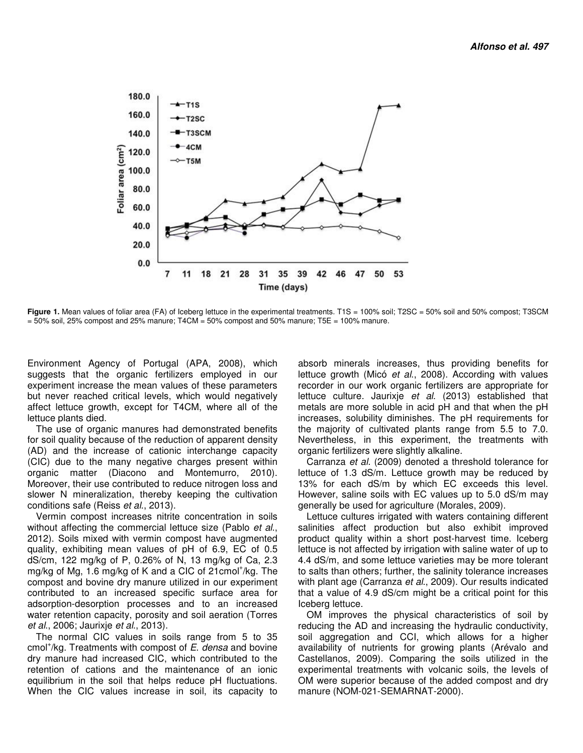

Figure 1. Mean values of foliar area (FA) of Iceberg lettuce in the experimental treatments. T1S = 100% soil; T2SC = 50% soil and 50% compost; T3SCM  $= 50\%$  soil, 25% compost and 25% manure; T4CM  $= 50\%$  compost and 50% manure; T5E  $= 100\%$  manure.

Environment Agency of Portugal (APA, 2008), which suggests that the organic fertilizers employed in our experiment increase the mean values of these parameters but never reached critical levels, which would negatively affect lettuce growth, except for T4CM, where all of the lettuce plants died.

The use of organic manures had demonstrated benefits for soil quality because of the reduction of apparent density (AD) and the increase of cationic interchange capacity (CIC) due to the many negative charges present within organic matter (Diacono and Montemurro, 2010). Moreover, their use contributed to reduce nitrogen loss and slower N mineralization, thereby keeping the cultivation conditions safe (Reiss et al., 2013).

Vermin compost increases nitrite concentration in soils without affecting the commercial lettuce size (Pablo et al., 2012). Soils mixed with vermin compost have augmented quality, exhibiting mean values of pH of 6.9, EC of 0.5 dS/cm, 122 mg/kg of P, 0.26% of N, 13 mg/kg of Ca, 2.3 mg/kg of Mg, 1.6 mg/kg of K and a CIC of 21cmol<sup>+</sup>/kg. The compost and bovine dry manure utilized in our experiment contributed to an increased specific surface area for adsorption-desorption processes and to an increased water retention capacity, porosity and soil aeration (Torres et al., 2006; Jaurixje et al., 2013).

The normal CIC values in soils range from 5 to 35 cmol<sup>+</sup>/kg. Treatments with compost of E. densa and bovine dry manure had increased CIC, which contributed to the retention of cations and the maintenance of an ionic equilibrium in the soil that helps reduce pH fluctuations. When the CIC values increase in soil, its capacity to

absorb minerals increases, thus providing benefits for lettuce growth (Micó et al., 2008). According with values recorder in our work organic fertilizers are appropriate for lettuce culture. Jaurixje et al. (2013) established that metals are more soluble in acid pH and that when the pH increases, solubility diminishes. The pH requirements for the majority of cultivated plants range from 5.5 to 7.0. Nevertheless, in this experiment, the treatments with organic fertilizers were slightly alkaline.

Carranza et al. (2009) denoted a threshold tolerance for lettuce of 1.3 dS/m. Lettuce growth may be reduced by 13% for each dS/m by which EC exceeds this level. However, saline soils with EC values up to 5.0 dS/m may generally be used for agriculture (Morales, 2009).

Lettuce cultures irrigated with waters containing different salinities affect production but also exhibit improved product quality within a short post-harvest time. Iceberg lettuce is not affected by irrigation with saline water of up to 4.4 dS/m, and some lettuce varieties may be more tolerant to salts than others; further, the salinity tolerance increases with plant age (Carranza et al., 2009). Our results indicated that a value of 4.9 dS/cm might be a critical point for this Iceberg lettuce.

OM improves the physical characteristics of soil by reducing the AD and increasing the hydraulic conductivity, soil aggregation and CCI, which allows for a higher availability of nutrients for growing plants (Arévalo and Castellanos, 2009). Comparing the soils utilized in the experimental treatments with volcanic soils, the levels of OM were superior because of the added compost and dry manure (NOM-021-SEMARNAT-2000).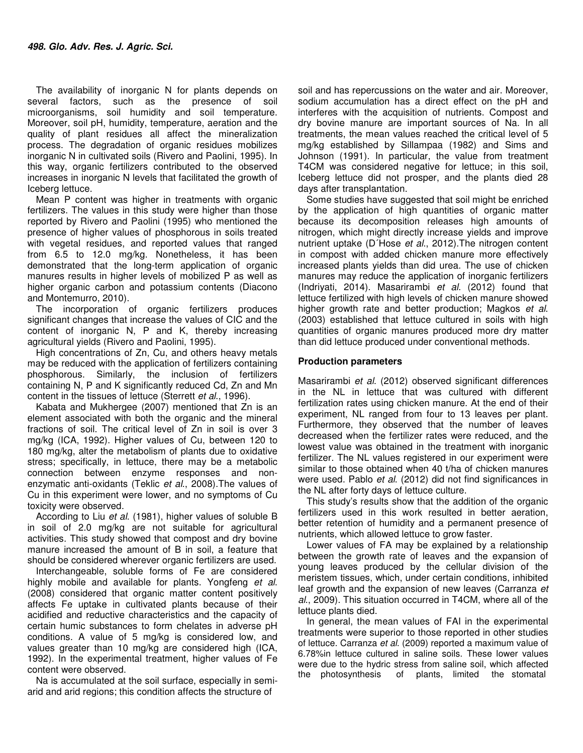The availability of inorganic N for plants depends on several factors, such as the presence of soil microorganisms, soil humidity and soil temperature. Moreover, soil pH, humidity, temperature, aeration and the quality of plant residues all affect the mineralization process. The degradation of organic residues mobilizes inorganic N in cultivated soils (Rivero and Paolini, 1995). In this way, organic fertilizers contributed to the observed increases in inorganic N levels that facilitated the growth of Iceberg lettuce.

Mean P content was higher in treatments with organic fertilizers. The values in this study were higher than those reported by Rivero and Paolini (1995) who mentioned the presence of higher values of phosphorous in soils treated with vegetal residues, and reported values that ranged from 6.5 to 12.0 mg/kg. Nonetheless, it has been demonstrated that the long-term application of organic manures results in higher levels of mobilized P as well as higher organic carbon and potassium contents (Diacono and Montemurro, 2010).

The incorporation of organic fertilizers produces significant changes that increase the values of CIC and the content of inorganic N, P and K, thereby increasing agricultural yields (Rivero and Paolini, 1995).

High concentrations of Zn, Cu, and others heavy metals may be reduced with the application of fertilizers containing phosphorous. Similarly, the inclusion of fertilizers containing N, P and K significantly reduced Cd, Zn and Mn content in the tissues of lettuce (Sterrett et al., 1996).

Kabata and Mukhergee (2007) mentioned that Zn is an element associated with both the organic and the mineral fractions of soil. The critical level of Zn in soil is over 3 mg/kg (ICA, 1992). Higher values of Cu, between 120 to 180 mg/kg, alter the metabolism of plants due to oxidative stress; specifically, in lettuce, there may be a metabolic connection between enzyme responses and nonenzymatic anti-oxidants (Teklic et al., 2008).The values of Cu in this experiment were lower, and no symptoms of Cu toxicity were observed.

According to Liu et al. (1981), higher values of soluble B in soil of 2.0 mg/kg are not suitable for agricultural activities. This study showed that compost and dry bovine manure increased the amount of B in soil, a feature that should be considered wherever organic fertilizers are used.

Interchangeable, soluble forms of Fe are considered highly mobile and available for plants. Yongfeng et al. (2008) considered that organic matter content positively affects Fe uptake in cultivated plants because of their acidified and reductive characteristics and the capacity of certain humic substances to form chelates in adverse pH conditions. A value of 5 mg/kg is considered low, and values greater than 10 mg/kg are considered high (ICA, 1992). In the experimental treatment, higher values of Fe content were observed.

Na is accumulated at the soil surface, especially in semiarid and arid regions; this condition affects the structure of

soil and has repercussions on the water and air. Moreover, sodium accumulation has a direct effect on the pH and interferes with the acquisition of nutrients. Compost and dry bovine manure are important sources of Na. In all treatments, the mean values reached the critical level of 5 mg/kg established by Sillampaa (1982) and Sims and Johnson (1991). In particular, the value from treatment T4CM was considered negative for lettuce; in this soil, Iceberg lettuce did not prosper, and the plants died 28 days after transplantation.

Some studies have suggested that soil might be enriched by the application of high quantities of organic matter because its decomposition releases high amounts of nitrogen, which might directly increase yields and improve nutrient uptake (D'Hose et al., 2012). The nitrogen content in compost with added chicken manure more effectively increased plants yields than did urea. The use of chicken manures may reduce the application of inorganic fertilizers (Indriyati, 2014). Masarirambi et al. (2012) found that lettuce fertilized with high levels of chicken manure showed higher growth rate and better production; Magkos et al. (2003) established that lettuce cultured in soils with high quantities of organic manures produced more dry matter than did lettuce produced under conventional methods.

### **Production parameters**

Masarirambi et al. (2012) observed significant differences in the NL in lettuce that was cultured with different fertilization rates using chicken manure. At the end of their experiment, NL ranged from four to 13 leaves per plant. Furthermore, they observed that the number of leaves decreased when the fertilizer rates were reduced, and the lowest value was obtained in the treatment with inorganic fertilizer. The NL values registered in our experiment were similar to those obtained when 40 t/ha of chicken manures were used. Pablo *et al.* (2012) did not find significances in the NL after forty days of lettuce culture.

This study's results show that the addition of the organic fertilizers used in this work resulted in better aeration, better retention of humidity and a permanent presence of nutrients, which allowed lettuce to grow faster.

Lower values of FA may be explained by a relationship between the growth rate of leaves and the expansion of young leaves produced by the cellular division of the meristem tissues, which, under certain conditions, inhibited leaf growth and the expansion of new leaves (Carranza et al., 2009). This situation occurred in T4CM, where all of the lettuce plants died.

In general, the mean values of FAI in the experimental treatments were superior to those reported in other studies of lettuce. Carranza et al. (2009) reported a maximum value of 6.78%in lettuce cultured in saline soils. These lower values were due to the hydric stress from saline soil, which affected the photosynthesis of plants, limited the stomatal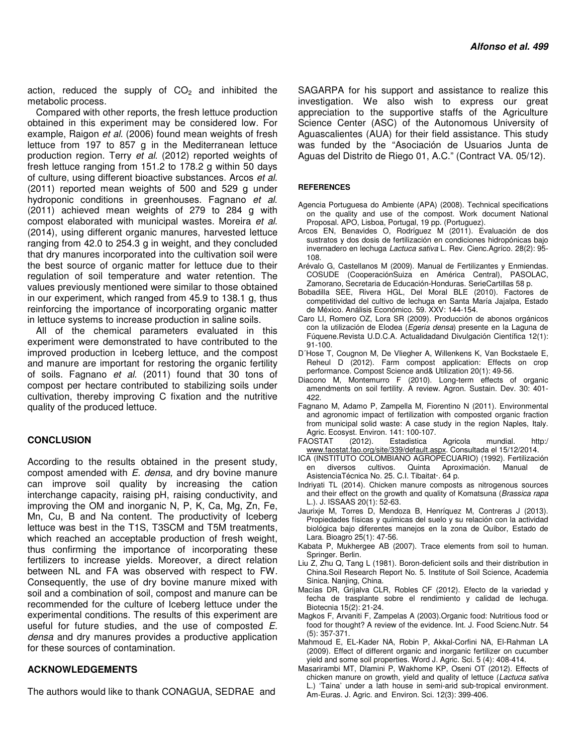action, reduced the supply of  $CO<sub>2</sub>$  and inhibited the metabolic process.

Compared with other reports, the fresh lettuce production obtained in this experiment may be considered low. For example, Raigon et al. (2006) found mean weights of fresh lettuce from 197 to 857 g in the Mediterranean lettuce production region. Terry et al. (2012) reported weights of fresh lettuce ranging from 151.2 to 178.2 g within 50 days of culture, using different bioactive substances. Arcos et al. (2011) reported mean weights of 500 and 529 g under hydroponic conditions in greenhouses. Fagnano et al. (2011) achieved mean weights of 279 to 284 g with compost elaborated with municipal wastes. Moreira et al. (2014), using different organic manures, harvested lettuce ranging from 42.0 to 254.3 g in weight, and they concluded that dry manures incorporated into the cultivation soil were the best source of organic matter for lettuce due to their regulation of soil temperature and water retention. The values previously mentioned were similar to those obtained in our experiment, which ranged from 45.9 to 138.1 g, thus reinforcing the importance of incorporating organic matter in lettuce systems to increase production in saline soils.

All of the chemical parameters evaluated in this experiment were demonstrated to have contributed to the improved production in Iceberg lettuce, and the compost and manure are important for restoring the organic fertility of soils. Fagnano et al. (2011) found that 30 tons of compost per hectare contributed to stabilizing soils under cultivation, thereby improving C fixation and the nutritive quality of the produced lettuce.

### **CONCLUSION**

According to the results obtained in the present study, compost amended with  $E$ . densa, and dry bovine manure can improve soil quality by increasing the cation interchange capacity, raising pH, raising conductivity, and improving the OM and inorganic N, P, K, Ca, Mg, Zn, Fe, Mn, Cu, B and Na content. The productivity of Iceberg lettuce was best in the T1S, T3SCM and T5M treatments, which reached an acceptable production of fresh weight, thus confirming the importance of incorporating these fertilizers to increase yields. Moreover, a direct relation between NL and FA was observed with respect to FW. Consequently, the use of dry bovine manure mixed with soil and a combination of soil, compost and manure can be recommended for the culture of Iceberg lettuce under the experimental conditions. The results of this experiment are useful for future studies, and the use of composted E. densa and dry manures provides a productive application for these sources of contamination.

## **ACKNOWLEDGEMENTS**

The authors would like to thank CONAGUA, SEDRAE and

SAGARPA for his support and assistance to realize this investigation. We also wish to express our great appreciation to the supportive staffs of the Agriculture Science Center (ASC) of the Autonomous University of Aguascalientes (AUA) for their field assistance. This study was funded by the "Asociación de Usuarios Junta de Aguas del Distrito de Riego 01, A.C." (Contract VA. 05/12).

#### **REFERENCES**

- Agencia Portuguesa do Ambiente (APA) (2008). Technical specifications on the quality and use of the compost. Work document National Proposal. APO, Lisboa, Portugal, 19 pp. (Portuguez).
- Arcos EN, Benavides O, Rodríguez M (2011). Evaluación de dos sustratos y dos dosis de fertilización en condiciones hidropónicas bajo invernadero en lechuga Lactuca sativa L. Rev. Cienc.Agríco. 28(2): 95- 108.
- Arévalo G, Castellanos M (2009). Manual de Fertilizantes y Enmiendas. COSUDE (CooperaciónSuiza en América Central), PASOLAC, Zamorano, Secretaria de Educación-Honduras. SerieCartillas 58 p.
- Bobadilla SEE, Rivera HGL, Del Moral BLE (2010). Factores de competitividad del cultivo de lechuga en Santa María Jajalpa, Estado de México. Análisis Económico. 59. XXV: 144-154.
- Caro LI, Romero OZ, Lora SR (2009). Producción de abonos orgánicos con la utilización de Elodea (Egeria densa) presente en la Laguna de Fúquene.Revista U.D.C.A. Actualidadand Divulgación Científica 12(1): 91-100.
- D´Hose T, Cougnon M, De Vliegher A, Willenkens K, Van Bockstaele E, Reheul D (2012). Farm compost application: Effects on crop performance. Compost Science and& Utilization 20(1): 49-56.
- Diacono M, Montemurro F (2010). Long-term effects of organic amendments on soil fertility. A review. Agron. Sustain. Dev. 30: 401- 422.
- Fagnano M, Adamo P, Zampella M, Fiorentino N (2011). Environmental and agronomic impact of fertilization with composted organic fraction from municipal solid waste: A case study in the region Naples, Italy. Agric. Ecosyst. Environ. 141: 100-107.
- FAOSTAT (2012). Estadistica Agricola mundial. http:/ www.faostat.fao.org/site/339/default.aspx. Consultada el 15/12/2014.
- ICA (INSTITUTO COLOMBIANO AGROPECUARIO) (1992). Fertilización en diversos cultivos. Quinta Aproximación. Manual de AsistenciaTécnica No. 25. C.I. Tibaitat·. 64 p.
- Indriyati TL (2014). Chicken manure composts as nitrogenous sources and their effect on the growth and quality of Komatsuna (Brassica rapa L.). J. ISSAAS 20(1): 52-63.
- Jaurixje M, Torres D, Mendoza B, Henríquez M, Contreras J (2013). Propiedades físicas y químicas del suelo y su relación con la actividad biológica bajo diferentes manejos en la zona de Quíbor, Estado de Lara. Bioagro 25(1): 47-56.
- Kabata P, Mukhergee AB (2007). Trace elements from soil to human. Springer. Berlin.
- Liu Z, Zhu Q, Tang L (1981). Boron-deficient soils and their distribution in China.Soil Research Report No. 5. Institute of Soil Science, Academia Sinica. Nanjing, China.
- Macías DR, Grijalva CLR, Robles CF (2012). Efecto de la variedad y fecha de trasplante sobre el rendimiento y calidad de lechuga. Biotecnia 15(2): 21-24.
- Magkos F, Arvaniti F, Zampelas A (2003).Organic food: Nutritious food or food for thought? A review of the evidence. Int. J. Food Scienc.Nutr. 54 (5): 357-371.
- Mahmoud E, EL-Kader NA, Robin P, Akkal-Corfini NA, El-Rahman LA (2009). Effect of different organic and inorganic fertilizer on cucumber yield and some soil properties. Word J. Agric. Sci. 5 (4): 408-414.
- Masarirambi MT, Dlamini P, Wakhome KP, Oseni OT (2012). Effects of chicken manure on growth, yield and quality of lettuce (Lactuca sativa L.) 'Taina' under a lath house in semi-arid sub-tropical environment. Am-Euras. J. Agric. and Environ. Sci. 12(3): 399-406.